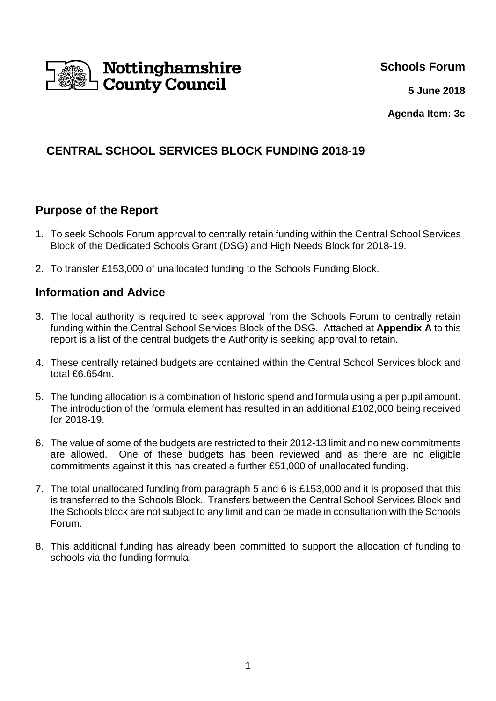

**Schools Forum**

**5 June 2018**

**Agenda Item: 3c**

# **CENTRAL SCHOOL SERVICES BLOCK FUNDING 2018-19**

## **Purpose of the Report**

- 1. To seek Schools Forum approval to centrally retain funding within the Central School Services Block of the Dedicated Schools Grant (DSG) and High Needs Block for 2018-19.
- 2. To transfer £153,000 of unallocated funding to the Schools Funding Block.

## **Information and Advice**

- 3. The local authority is required to seek approval from the Schools Forum to centrally retain funding within the Central School Services Block of the DSG. Attached at **Appendix A** to this report is a list of the central budgets the Authority is seeking approval to retain.
- 4. These centrally retained budgets are contained within the Central School Services block and total £6.654m.
- 5. The funding allocation is a combination of historic spend and formula using a per pupil amount. The introduction of the formula element has resulted in an additional £102,000 being received for 2018-19.
- 6. The value of some of the budgets are restricted to their 2012-13 limit and no new commitments are allowed. One of these budgets has been reviewed and as there are no eligible commitments against it this has created a further £51,000 of unallocated funding.
- 7. The total unallocated funding from paragraph 5 and 6 is £153,000 and it is proposed that this is transferred to the Schools Block. Transfers between the Central School Services Block and the Schools block are not subject to any limit and can be made in consultation with the Schools Forum.
- 8. This additional funding has already been committed to support the allocation of funding to schools via the funding formula.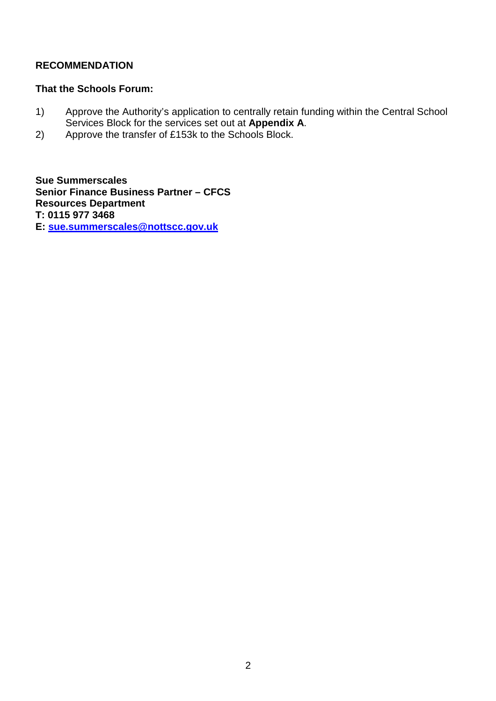### **RECOMMENDATION**

#### **That the Schools Forum:**

- 1) Approve the Authority's application to centrally retain funding within the Central School Services Block for the services set out at **Appendix A**.
- 2) Approve the transfer of £153k to the Schools Block.

**Sue Summerscales Senior Finance Business Partner – CFCS Resources Department T: 0115 977 3468** 

**E: sue.summerscales@nottscc.gov.uk**